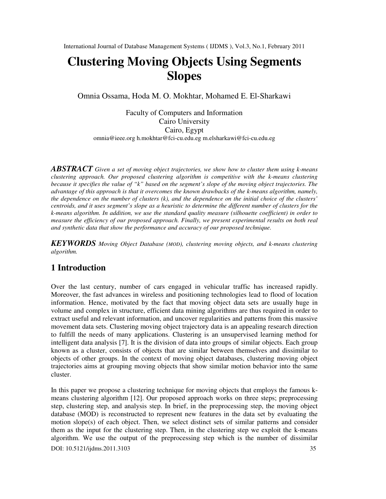# **Clustering Moving Objects Using Segments Slopes**

Omnia Ossama, Hoda M. O. Mokhtar, Mohamed E. El-Sharkawi

Faculty of Computers and Information Cairo University Cairo, Egypt omnia@ieee.org h.mokhtar@fci-cu.edu.eg m.elsharkawi@fci-cu.edu.eg

*ABSTRACT Given a set of moving object trajectories, we show how to cluster them using k-means clustering approach. Our proposed clustering algorithm is competitive with the k-means clustering because it specifies the value of "k" based on the segment's slope of the moving object trajectories. The advantage of this approach is that it overcomes the known drawbacks of the k-means algorithm, namely, the dependence on the number of clusters (k), and the dependence on the initial choice of the clusters' centroids, and it uses segment's slope as a heuristic to determine the different number of clusters for the k-means algorithm. In addition, we use the standard quality measure (silhouette coefficient) in order to measure the efficiency of our proposed approach. Finally, we present experimental results on both real and synthetic data that show the performance and accuracy of our proposed technique.* 

*KEYWORDS Moving Object Database (MOD), clustering moving objects, and k-means clustering algorithm.* 

# **1 Introduction**

Over the last century, number of cars engaged in vehicular traffic has increased rapidly. Moreover, the fast advances in wireless and positioning technologies lead to flood of location information. Hence, motivated by the fact that moving object data sets are usually huge in volume and complex in structure, efficient data mining algorithms are thus required in order to extract useful and relevant information, and uncover regularities and patterns from this massive movement data sets. Clustering moving object trajectory data is an appealing research direction to fulfill the needs of many applications. Clustering is an unsupervised learning method for intelligent data analysis [7]. It is the division of data into groups of similar objects. Each group known as a cluster, consists of objects that are similar between themselves and dissimilar to objects of other groups. In the context of moving object databases, clustering moving object trajectories aims at grouping moving objects that show similar motion behavior into the same cluster.

In this paper we propose a clustering technique for moving objects that employs the famous kmeans clustering algorithm [12]. Our proposed approach works on three steps; preprocessing step, clustering step, and analysis step. In brief, in the preprocessing step, the moving object database (MOD) is reconstructed to represent new features in the data set by evaluating the motion slope(s) of each object. Then, we select distinct sets of similar patterns and consider them as the input for the clustering step. Then, in the clustering step we exploit the k-means algorithm. We use the output of the preprocessing step which is the number of dissimilar

DOI: 10.5121/ijdms.2011.3103 35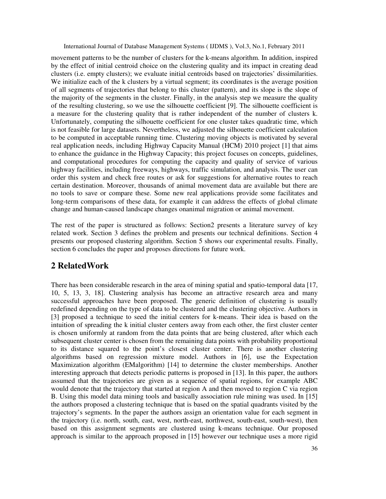movement patterns to be the number of clusters for the k-means algorithm. In addition, inspired by the effect of initial centroid choice on the clustering quality and its impact in creating dead clusters (i.e. empty clusters); we evaluate initial centroids based on trajectories' dissimilarities. We initialize each of the k clusters by a virtual segment; its coordinates is the average position of all segments of trajectories that belong to this cluster (pattern), and its slope is the slope of the majority of the segments in the cluster. Finally, in the analysis step we measure the quality of the resulting clustering, so we use the silhouette coefficient [9]. The silhouette coefficient is a measure for the clustering quality that is rather independent of the number of clusters k. Unfortunately, computing the silhouette coefficient for one cluster takes quadratic time, which is not feasible for large datasets. Nevertheless, we adjusted the silhouette coefficient calculation to be computed in acceptable running time. Clustering moving objects is motivated by several real application needs, including Highway Capacity Manual (HCM) 2010 project [1] that aims to enhance the guidance in the Highway Capacity; this project focuses on concepts, guidelines, and computational procedures for computing the capacity and quality of service of various highway facilities, including freeways, highways, traffic simulation, and analysis. The user can order this system and check free routes or ask for suggestions for alternative routes to reach certain destination. Moreover, thousands of animal movement data are available but there are no tools to save or compare these. Some new real applications provide some facilitates and long-term comparisons of these data, for example it can address the effects of global climate change and human-caused landscape changes onanimal migration or animal movement.

The rest of the paper is structured as follows: Section2 presents a literature survey of key related work. Section 3 defines the problem and presents our technical definitions. Section 4 presents our proposed clustering algorithm. Section 5 shows our experimental results. Finally, section 6 concludes the paper and proposes directions for future work.

## **2 RelatedWork**

There has been considerable research in the area of mining spatial and spatio-temporal data [17, 10, 5, 13, 3, 18]. Clustering analysis has become an attractive research area and many successful approaches have been proposed. The generic definition of clustering is usually redefined depending on the type of data to be clustered and the clustering objective. Authors in [3] proposed a technique to seed the initial centers for k-means. Their idea is based on the intuition of spreading the k initial cluster centers away from each other, the first cluster center is chosen uniformly at random from the data points that are being clustered, after which each subsequent cluster center is chosen from the remaining data points with probability proportional to its distance squared to the point's closest cluster center. There is another clustering algorithms based on regression mixture model. Authors in [6], use the Expectation Maximization algorithm (EMalgorithm) [14] to determine the cluster memberships. Another interesting approach that detects periodic patterns is proposed in [13]. In this paper, the authors assumed that the trajectories are given as a sequence of spatial regions, for example ABC would denote that the trajectory that started at region A and then moved to region C via region B. Using this model data mining tools and basically association rule mining was used. In [15] the authors proposed a clustering technique that is based on the spatial quadrants visited by the trajectory's segments. In the paper the authors assign an orientation value for each segment in the trajectory (i.e. north, south, east, west, north-east, northwest, south-east, south-west), then based on this assignment segments are clustered using k-means technique. Our proposed approach is similar to the approach proposed in [15] however our technique uses a more rigid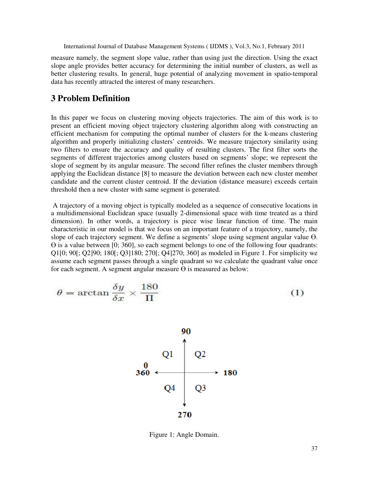measure namely, the segment slope value, rather than using just the direction. Using the exact slope angle provides better accuracy for determining the initial number of clusters, as well as better clustering results. In general, huge potential of analyzing movement in spatio-temporal data has recently attracted the interest of many researchers.

## **3 Problem Definition**

In this paper we focus on clustering moving objects trajectories. The aim of this work is to present an efficient moving object trajectory clustering algorithm along with constructing an efficient mechanism for computing the optimal number of clusters for the k-means clustering algorithm and properly initializing clusters' centroids. We measure trajectory similarity using two filters to ensure the accuracy and quality of resulting clusters. The first filter sorts the segments of different trajectories among clusters based on segments' slope; we represent the slope of segment by its angular measure. The second filter refines the cluster members through applying the Euclidean distance [8] to measure the deviation between each new cluster member candidate and the current cluster centroid. If the deviation (distance measure) exceeds certain threshold then a new cluster with same segment is generated.

 A trajectory of a moving object is typically modeled as a sequence of consecutive locations in a multidimensional Euclidean space (usually 2-dimensional space with time treated as a third dimension). In other words, a trajectory is piece wise linear function of time. The main characteristic in our model is that we focus on an important feature of a trajectory, namely, the slope of each trajectory segment. We define a segments' slope using segment angular value Ө. Ө is a value between [0; 360], so each segment belongs to one of the following four quadrants: Q1[0; 90[; Q2]90; 180[; Q3]180; 270[; Q4]270; 360] as modeled in Figure 1. For simplicity we assume each segment passes through a single quadrant so we calculate the quadrant value once for each segment. A segment angular measure  $\Theta$  is measured as below:

$$
\theta = \arctan \frac{\delta y}{\delta x} \times \frac{180}{\Pi} \tag{1}
$$



Figure 1: Angle Domain.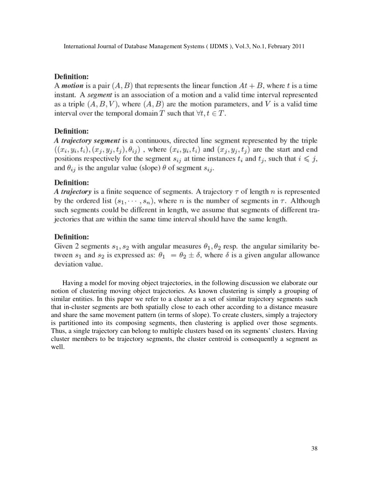## **Definition:**

A *motion* is a pair  $(A, B)$  that represents the linear function  $At + B$ , where t is a time instant. A *segment* is an association of a motion and a valid time interval represented as a triple  $(A, B, V)$ , where  $(A, B)$  are the motion parameters, and V is a valid time interval over the temporal domain T such that  $\forall t, t \in T$ .

## **Definition:**

A trajectory segment is a continuous, directed line segment represented by the triple  $((x_i, y_i, t_i), (x_j, y_j, t_j), \theta_{ij})$ , where  $(x_i, y_i, t_i)$  and  $(x_j, y_j, t_j)$  are the start and end positions respectively for the segment  $s_{ij}$  at time instances  $t_i$  and  $t_j$ , such that  $i \leq j$ , and  $\theta_{ij}$  is the angular value (slope)  $\theta$  of segment  $s_{ij}$ .

## Definition:

A trajectory is a finite sequence of segments. A trajectory  $\tau$  of length n is represented by the ordered list  $(s_1, \dots, s_n)$ , where *n* is the number of segments in  $\tau$ . Although such segments could be different in length, we assume that segments of different trajectories that are within the same time interval should have the same length.

## **Definition:**

Given 2 segments  $s_1, s_2$  with angular measures  $\theta_1, \theta_2$  resp. the angular similarity between  $s_1$  and  $s_2$  is expressed as:  $\theta_1 = \theta_2 \pm \delta$ , where  $\delta$  is a given angular allowance deviation value.

Having a model for moving object trajectories, in the following discussion we elaborate our notion of clustering moving object trajectories. As known clustering is simply a grouping of similar entities. In this paper we refer to a cluster as a set of similar trajectory segments such that in-cluster segments are both spatially close to each other according to a distance measure and share the same movement pattern (in terms of slope). To create clusters, simply a trajectory is partitioned into its composing segments, then clustering is applied over those segments. Thus, a single trajectory can belong to multiple clusters based on its segments' clusters. Having cluster members to be trajectory segments, the cluster centroid is consequently a segment as well.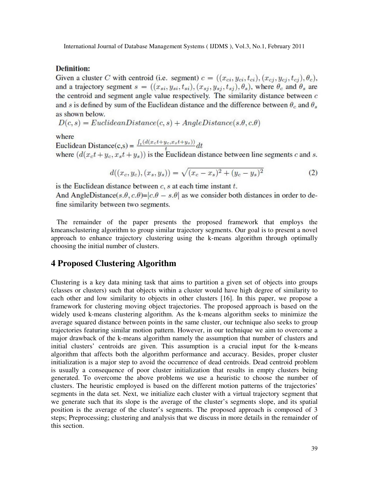#### **Definition:**

Given a cluster C with centroid (i.e. segment)  $c = ((x_{ci}, y_{ci}, t_{ci}), (x_{cj}, y_{cj}, t_{cj}), \theta_c)$ , and a trajectory segment  $s = ((x_{si}, y_{si}, t_{si}), (x_{sj}, y_{sj}, t_{sj}), \theta_s)$ , where  $\theta_c$  and  $\theta_s$  are the centroid and segment angle value respectively. The similarity distance between  $c$ and s is defined by sum of the Euclidean distance and the difference between  $\theta_c$  and  $\theta_s$ as shown below.

 $D(c, s) = EuclideanDistance(c, s) + AngleDistance(s.\theta, c.\theta)$ 

where

Euclidean Distance(c,s) =  $\frac{\int_t (d(x_c t + y_c, x_s t + y_s))}{t} dt$ <br>where  $(d(x_c t + y_c, x_s t + y_s))$  is the Euclidean distance between line segments c and s.

$$
d((x_c, y_c), (x_s, y_s)) = \sqrt{(x_c - x_s)^2 + (y_c - y_s)^2}
$$
 (2)

is the Euclidean distance between  $c$ ,  $s$  at each time instant  $t$ .

And AngleDistance(s,  $\theta$ , c,  $\theta$ )=|c, $\theta$  – s,  $\theta$ | as we consider both distances in order to define similarity between two segments.

The remainder of the paper presents the proposed framework that employs the kmeansclustering algorithm to group similar trajectory segments. Our goal is to present a novel approach to enhance trajectory clustering using the k-means algorithm through optimally choosing the initial number of clusters.

## **4 Proposed Clustering Algorithm**

Clustering is a key data mining task that aims to partition a given set of objects into groups (classes or clusters) such that objects within a cluster would have high degree of similarity to each other and low similarity to objects in other clusters [16]. In this paper, we propose a framework for clustering moving object trajectories. The proposed approach is based on the widely used k-means clustering algorithm. As the k-means algorithm seeks to minimize the average squared distance between points in the same cluster, our technique also seeks to group trajectories featuring similar motion pattern. However, in our technique we aim to overcome a major drawback of the k-means algorithm namely the assumption that number of clusters and initial clusters' centroids are given. This assumption is a crucial input for the k-means algorithm that affects both the algorithm performance and accuracy. Besides, proper cluster initialization is a major step to avoid the occurrence of dead centroids. Dead centroid problem is usually a consequence of poor cluster initialization that results in empty clusters being generated. To overcome the above problems we use a heuristic to choose the number of clusters. The heuristic employed is based on the different motion patterns of the trajectories' segments in the data set. Next, we initialize each cluster with a virtual trajectory segment that we generate such that its slope is the average of the cluster's segments slope, and its spatial position is the average of the cluster's segments. The proposed approach is composed of 3 steps; Preprocessing; clustering and analysis that we discuss in more details in the remainder of this section.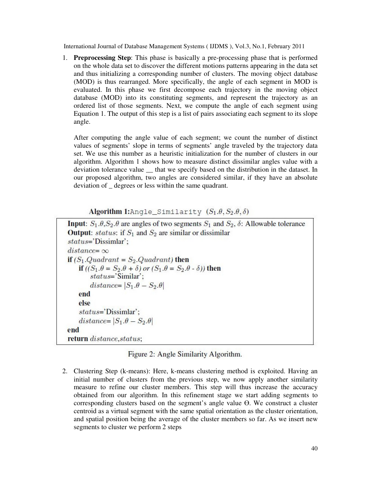1. **Preprocessing Step**: This phase is basically a pre-processing phase that is performed on the whole data set to discover the different motions patterns appearing in the data set and thus initializing a corresponding number of clusters. The moving object database (MOD) is thus rearranged. More specifically, the angle of each segment in MOD is evaluated. In this phase we first decompose each trajectory in the moving object database (MOD) into its constituting segments, and represent the trajectory as an ordered list of those segments. Next, we compute the angle of each segment using Equation 1. The output of this step is a list of pairs associating each segment to its slope angle.

After computing the angle value of each segment; we count the number of distinct values of segments' slope in terms of segments' angle traveled by the trajectory data set. We use this number as a heuristic initialization for the number of clusters in our algorithm. Algorithm 1 shows how to measure distinct dissimilar angles value with a deviation tolerance value \_\_ that we specify based on the distribution in the dataset. In our proposed algorithm, two angles are considered similar, if they have an absolute deviation of degrees or less within the same quadrant.

Algorithm 1: Angle\_Similarity  $(S_1, \theta, S_2, \theta, \delta)$ 

**Input:**  $S_1$ ,  $\theta$ ,  $S_2$ ,  $\theta$  are angles of two segments  $S_1$  and  $S_2$ ,  $\delta$ : Allowable tolerance **Output:** status: if  $S_1$  and  $S_2$  are similar or dissimilar  $status='Dissimilar':$  $distance = \infty$ if  $(S_1.Quadrant = S_2.Quadrant)$  then if  $((S_1 \theta = S_2 \theta + \delta)$  or  $(S_1 \theta = S_2 \theta - \delta)$  then  $status='Similar':$ distance=  $|S_1 \theta - S_2 \theta|$ end else status='Dissimlar'; distance=  $|S_1 \theta - S_2 \theta|$ end return distance, status;

Figure 2: Angle Similarity Algorithm.

2. Clustering Step (k-means): Here, k-means clustering method is exploited. Having an initial number of clusters from the previous step, we now apply another similarity measure to refine our cluster members. This step will thus increase the accuracy obtained from our algorithm. In this refinement stage we start adding segments to corresponding clusters based on the segment's angle value  $\Theta$ . We construct a cluster centroid as a virtual segment with the same spatial orientation as the cluster orientation, and spatial position being the average of the cluster members so far. As we insert new segments to cluster we perform 2 steps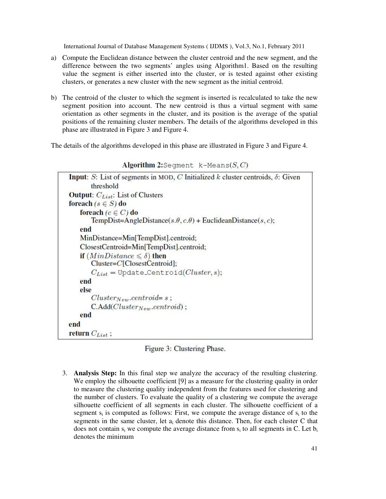- a) Compute the Euclidean distance between the cluster centroid and the new segment, and the difference between the two segments' angles using Algorithm1. Based on the resulting value the segment is either inserted into the cluster, or is tested against other existing clusters, or generates a new cluster with the new segment as the initial centroid.
- b) The centroid of the cluster to which the segment is inserted is recalculated to take the new segment position into account. The new centroid is thus a virtual segment with same orientation as other segments in the cluster, and its position is the average of the spatial positions of the remaining cluster members. The details of the algorithms developed in this phase are illustrated in Figure 3 and Figure 4.

The details of the algorithms developed in this phase are illustrated in Figure 3 and Figure 4.

| <b>Input:</b> S: List of segments in MOD, C Initialized k cluster centroids, $\delta$ : Given |
|-----------------------------------------------------------------------------------------------|
| threshold                                                                                     |
| <b>Output:</b> $C_{List}$ : List of Clusters                                                  |
| foreach ( $s \in S$ ) do                                                                      |
| foreach ( $c \in C$ ) do                                                                      |
| TempDist=AngleDistance(s. $\theta$ , c. $\theta$ ) + EuclideanDistance(s, c);                 |
| end                                                                                           |
| MinDistance=Min[TempDist].centroid;                                                           |
| ClosestCentroid=Min[TempDist].centroid;                                                       |
| <b>if</b> $(MinDistance \leq \delta)$ then                                                    |
| $Cluster=C[ClosestCentroid];$                                                                 |
| $C_{List} = \text{Update-Centroid}(Cluster, s);$                                              |
| end                                                                                           |
| else                                                                                          |
| $Cluster_{New}.centroid = s;$                                                                 |
| $C.\text{Add}(Cluster_{New}.centroid)$ ;                                                      |
| end                                                                                           |
| end                                                                                           |
| <b>return</b> $C_{List}$ ;                                                                    |

Algorithm 2:Seqment  $k$ -Means $(S, C)$ 

Figure 3: Clustering Phase.

3. **Analysis Step:** In this final step we analyze the accuracy of the resulting clustering. We employ the silhouette coefficient [9] as a measure for the clustering quality in order to measure the clustering quality independent from the features used for clustering and the number of clusters. To evaluate the quality of a clustering we compute the average silhouette coefficient of all segments in each cluster. The silhouette coefficient of a segment  $s_i$  is computed as follows: First, we compute the average distance of  $s_i$  to the segments in the same cluster, let  $a_i$  denote this distance. Then, for each cluster C that does not contain  $s_i$  we compute the average distance from  $s_i$  to all segments in C. Let  $b_i$ denotes the minimum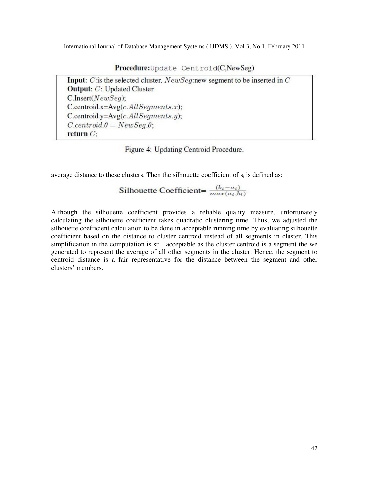Procedure: Update\_Centroid(C, NewSeg)

Input: C: is the selected cluster,  $NewSeq$ : new segment to be inserted in C **Output:** C: Updated Cluster  $C_{.}$ Insert( $NewSeq$ );  $C$ .centroid.x= $Avg(c. All Segments.x);$  $C$ .centroid.y= $Avg(c. All Segments.y)$ ;  $C. centroid.\theta = NewSeq.\theta;$ return  $C$ ;

Figure 4: Updating Centroid Procedure.

average distance to these clusters. Then the silhouette coefficient of  $s_i$  is defined as:

$$
Silhouette Coefficient = \frac{(b_i - a_i)}{max(a_i, b_i)}
$$

Although the silhouette coefficient provides a reliable quality measure, unfortunately calculating the silhouette coefficient takes quadratic clustering time. Thus, we adjusted the silhouette coefficient calculation to be done in acceptable running time by evaluating silhouette coefficient based on the distance to cluster centroid instead of all segments in cluster. This simplification in the computation is still acceptable as the cluster centroid is a segment the we generated to represent the average of all other segments in the cluster. Hence, the segment to centroid distance is a fair representative for the distance between the segment and other clusters' members.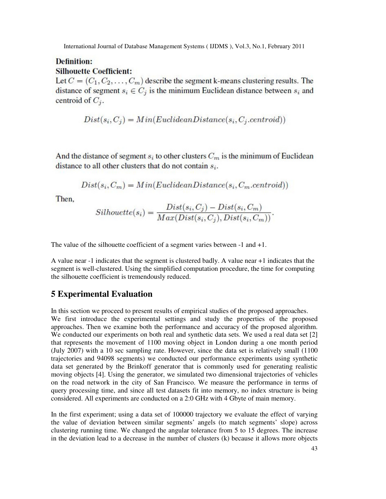## **Definition: Silhouette Coefficient:**

Let  $C = (C_1, C_2, \ldots, C_m)$  describe the segment k-means clustering results. The distance of segment  $s_i \in C_j$  is the minimum Euclidean distance between  $s_i$  and centroid of  $C_i$ .

$$
Dist(s_i, C_j) = Min(Euclidean Distance(s_i, C_j.centroid))
$$

And the distance of segment  $s_i$  to other clusters  $C_m$  is the minimum of Euclidean distance to all other clusters that do not contain  $s_i$ .

$$
Dist(s_i, C_m) = Min(Euclidean Distance(s_i, C_m.centroid))
$$

Then.

$$
Silhouette(s_i) = \frac{Dist(s_i, C_j) - Dist(s_i, C_m)}{Max(Dist(s_i, C_j), Dist(s_i, C_m))}.
$$

The value of the silhouette coefficient of a segment varies between -1 and +1.

A value near -1 indicates that the segment is clustered badly. A value near +1 indicates that the segment is well-clustered. Using the simplified computation procedure, the time for computing the silhouette coefficient is tremendously reduced.

## **5 Experimental Evaluation**

In this section we proceed to present results of empirical studies of the proposed approaches. We first introduce the experimental settings and study the properties of the proposed approaches. Then we examine both the performance and accuracy of the proposed algorithm. We conducted our experiments on both real and synthetic data sets. We used a real data set [2] that represents the movement of 1100 moving object in London during a one month period (July 2007) with a 10 sec sampling rate. However, since the data set is relatively small (1100 trajectories and 94098 segments) we conducted our performance experiments using synthetic data set generated by the Brinkoff generator that is commonly used for generating realistic moving objects [4]. Using the generator, we simulated two dimensional trajectories of vehicles on the road network in the city of San Francisco. We measure the performance in terms of query processing time, and since all test datasets fit into memory, no index structure is being considered. All experiments are conducted on a 2:0 GHz with 4 Gbyte of main memory.

In the first experiment; using a data set of 100000 trajectory we evaluate the effect of varying the value of deviation between similar segments' angels (to match segments' slope) across clustering running time. We changed the angular tolerance from 5 to 15 degrees. The increase in the deviation lead to a decrease in the number of clusters (k) because it allows more objects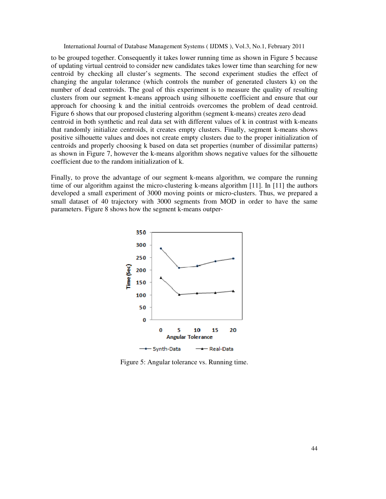to be grouped together. Consequently it takes lower running time as shown in Figure 5 because of updating virtual centroid to consider new candidates takes lower time than searching for new centroid by checking all cluster's segments. The second experiment studies the effect of changing the angular tolerance (which controls the number of generated clusters k) on the number of dead centroids. The goal of this experiment is to measure the quality of resulting clusters from our segment k-means approach using silhouette coefficient and ensure that our approach for choosing k and the initial centroids overcomes the problem of dead centroid. Figure 6 shows that our proposed clustering algorithm (segment k-means) creates zero dead centroid in both synthetic and real data set with different values of k in contrast with k-means that randomly initialize centroids, it creates empty clusters. Finally, segment k-means shows positive silhouette values and does not create empty clusters due to the proper initialization of centroids and properly choosing k based on data set properties (number of dissimilar patterns) as shown in Figure 7, however the k-means algorithm shows negative values for the silhouette coefficient due to the random initialization of k.

Finally, to prove the advantage of our segment k-means algorithm, we compare the running time of our algorithm against the micro-clustering k-means algorithm [11]. In [11] the authors developed a small experiment of 3000 moving points or micro-clusters. Thus, we prepared a small dataset of 40 trajectory with 3000 segments from MOD in order to have the same parameters. Figure 8 shows how the segment k-means outper-



Figure 5: Angular tolerance vs. Running time.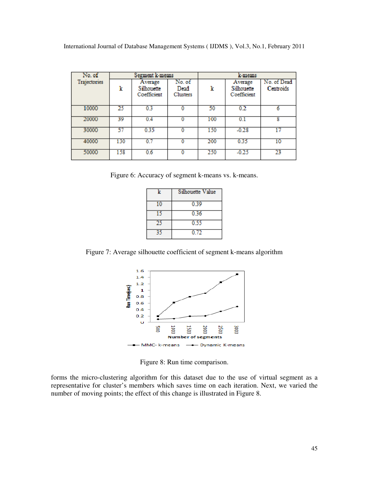| No. of       | Segment k-means |                                      |                                   | k-means |                                      |                          |
|--------------|-----------------|--------------------------------------|-----------------------------------|---------|--------------------------------------|--------------------------|
| Trajectories | k               | Average<br>Silhouette<br>Coefficient | No. of<br>Dead<br><b>Clusters</b> | k       | Average<br>Silhouette<br>Coefficient | No. of Dead<br>Centroids |
| 10000        | 25              | 0.3                                  |                                   | 50      | 0.2                                  | 6                        |
| 20000        | 39              | 0.4                                  | 0                                 | 100     | 0.1                                  | g                        |
| 30000        | 57              | 0.35                                 |                                   | 150     | $-0.28$                              | 17                       |
| 40000        | 130             | 0.7                                  |                                   | 200     | 0.35                                 | 10                       |
| 50000        | 158             | 0.6                                  | 0                                 | 250     | $-0.25$                              | 23                       |

Figure 6: Accuracy of segment k-means vs. k-means.

| k | Silhouette Value |
|---|------------------|
|   | 0.39             |
|   | 0.36             |
|   | 0.55             |
|   | 0.72             |

Figure 7: Average silhouette coefficient of segment k-means algorithm



Figure 8: Run time comparison.

forms the micro-clustering algorithm for this dataset due to the use of virtual segment as a representative for cluster's members which saves time on each iteration. Next, we varied the number of moving points; the effect of this change is illustrated in Figure 8.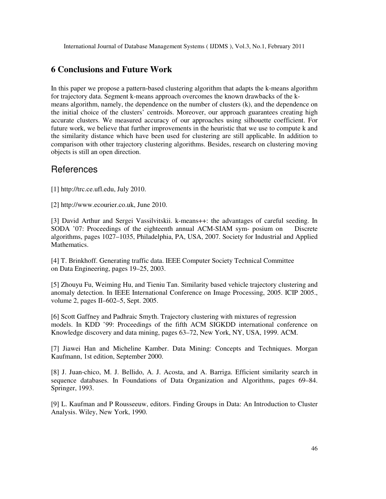# **6 Conclusions and Future Work**

In this paper we propose a pattern-based clustering algorithm that adapts the k-means algorithm for trajectory data. Segment k-means approach overcomes the known drawbacks of the kmeans algorithm, namely, the dependence on the number of clusters (k), and the dependence on the initial choice of the clusters' centroids. Moreover, our approach guarantees creating high accurate clusters. We measured accuracy of our approaches using silhouette coefficient. For future work, we believe that further improvements in the heuristic that we use to compute k and the similarity distance which have been used for clustering are still applicable. In addition to comparison with other trajectory clustering algorithms. Besides, research on clustering moving objects is still an open direction.

# References

[1] http://trc.ce.ufl.edu, July 2010.

[2] http://www.ecourier.co.uk, June 2010.

[3] David Arthur and Sergei Vassilvitskii. k-means++: the advantages of careful seeding. In SODA '07: Proceedings of the eighteenth annual ACM-SIAM sym- posium on Discrete algorithms, pages 1027–1035, Philadelphia, PA, USA, 2007. Society for Industrial and Applied Mathematics.

[4] T. Brinkhoff. Generating traffic data. IEEE Computer Society Technical Committee on Data Engineering, pages 19–25, 2003.

[5] Zhouyu Fu, Weiming Hu, and Tieniu Tan. Similarity based vehicle trajectory clustering and anomaly detection. In IEEE International Conference on Image Processing, 2005. ICIP 2005., volume 2, pages II–602–5, Sept. 2005.

[6] Scott Gaffney and Padhraic Smyth. Trajectory clustering with mixtures of regression models. In KDD '99: Proceedings of the fifth ACM SIGKDD international conference on Knowledge discovery and data mining, pages 63–72, New York, NY, USA, 1999. ACM.

[7] Jiawei Han and Micheline Kamber. Data Mining: Concepts and Techniques. Morgan Kaufmann, 1st edition, September 2000.

[8] J. Juan-chico, M. J. Bellido, A. J. Acosta, and A. Barriga. Efficient similarity search in sequence databases. In Foundations of Data Organization and Algorithms, pages 69–84. Springer, 1993.

[9] L. Kaufman and P Rousseeuw, editors. Finding Groups in Data: An Introduction to Cluster Analysis. Wiley, New York, 1990.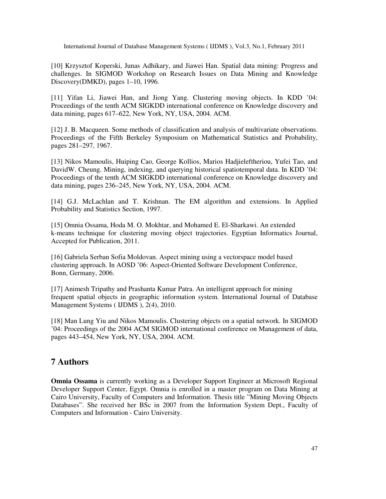[10] Krzysztof Koperski, Junas Adhikary, and Jiawei Han. Spatial data mining: Progress and challenges. In SIGMOD Workshop on Research Issues on Data Mining and Knowledge Discovery(DMKD), pages 1–10, 1996.

[11] Yifan Li, Jiawei Han, and Jiong Yang. Clustering moving objects. In KDD '04: Proceedings of the tenth ACM SIGKDD international conference on Knowledge discovery and data mining, pages 617–622, New York, NY, USA, 2004. ACM.

[12] J. B. Macqueen. Some methods of classification and analysis of multivariate observations. Proceedings of the Fifth Berkeley Symposium on Mathematical Statistics and Probability, pages 281–297, 1967.

[13] Nikos Mamoulis, Huiping Cao, George Kollios, Marios Hadjieleftheriou, Yufei Tao, and DavidW. Cheung. Mining, indexing, and querying historical spatiotemporal data. In KDD '04: Proceedings of the tenth ACM SIGKDD international conference on Knowledge discovery and data mining, pages 236–245, New York, NY, USA, 2004. ACM.

[14] G.J. McLachlan and T. Krishnan. The EM algorithm and extensions. In Applied Probability and Statistics Section, 1997.

[15] Omnia Ossama, Hoda M. O. Mokhtar, and Mohamed E. El-Sharkawi. An extended k-means technique for clustering moving object trajectories. Egyptian Informatics Journal, Accepted for Publication, 2011.

[16] Gabriela Serban Sofia Moldovan. Aspect mining using a vectorspace model based clustering approach. In AOSD '06: Aspect-Oriented Software Development Conference, Bonn, Germany, 2006.

[17] Animesh Tripathy and Prashanta Kumar Patra. An intelligent approach for mining frequent spatial objects in geographic information system. International Journal of Database Management Systems ( IJDMS ), 2(4), 2010.

[18] Man Lung Yiu and Nikos Mamoulis. Clustering objects on a spatial network. In SIGMOD '04: Proceedings of the 2004 ACM SIGMOD international conference on Management of data, pages 443–454, New York, NY, USA, 2004. ACM.

## **7 Authors**

**Omnia Ossama** is currently working as a Developer Support Engineer at Microsoft Regional Developer Support Center, Egypt. Omnia is enrolled in a master program on Data Mining at Cairo University, Faculty of Computers and Information. Thesis title "Mining Moving Objects Databases". She received her BSc in 2007 from the Information System Dept., Faculty of Computers and Information - Cairo University.